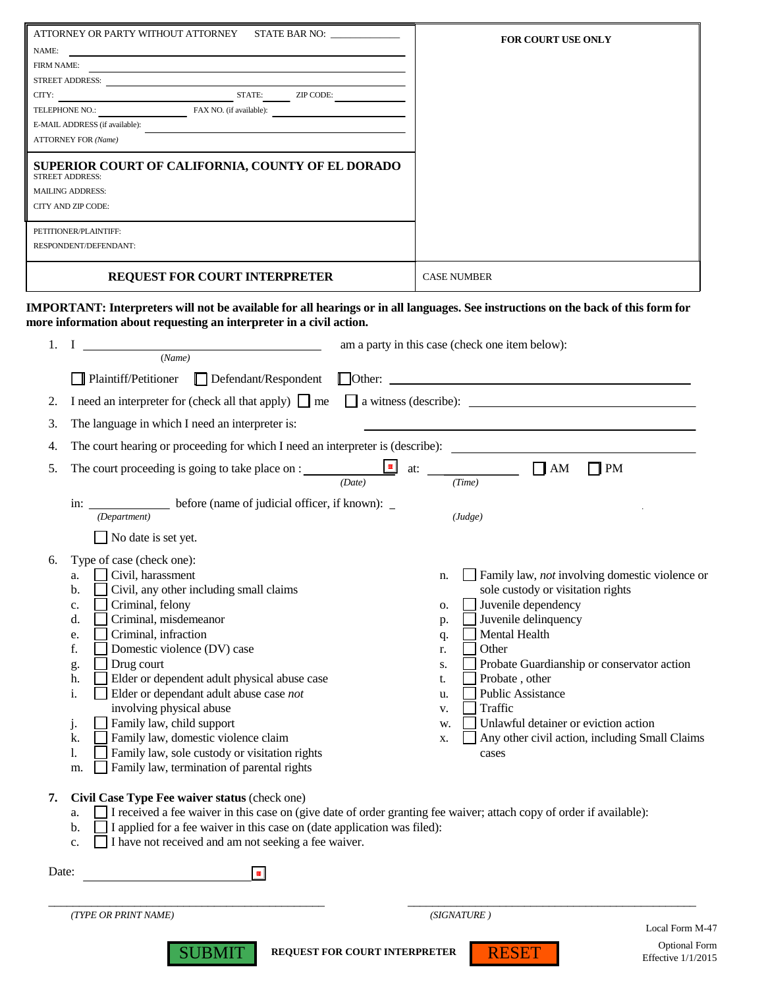| ATTORNEY OR PARTY WITHOUT ATTORNEY<br>STATE BAR NO:                                                                   | <b>FOR COURT USE ONLY</b> |
|-----------------------------------------------------------------------------------------------------------------------|---------------------------|
| NAME:                                                                                                                 |                           |
| <b>FIRM NAME:</b>                                                                                                     |                           |
| <b>STREET ADDRESS:</b>                                                                                                |                           |
| CITY:<br>STATE:<br>ZIP CODE:                                                                                          |                           |
| TELEPHONE NO.:<br>FAX NO. (if available):                                                                             |                           |
| E-MAIL ADDRESS (if available):                                                                                        |                           |
| <b>ATTORNEY FOR (Name)</b>                                                                                            |                           |
| SUPERIOR COURT OF CALIFORNIA, COUNTY OF EL DORADO<br>STREET ADDRESS:<br><b>MAILING ADDRESS:</b><br>CITY AND ZIP CODE: |                           |
| PETITIONER/PLAINTIFF:                                                                                                 |                           |
| RESPONDENT/DEFENDANT:                                                                                                 |                           |
| <b>REQUEST FOR COURT INTERPRETER</b>                                                                                  | <b>CASE NUMBER</b>        |

**IMPORTANT: Interpreters will not be available for all hearings or in all languages. See instructions on the back of this form for more information about requesting an interpreter in a civil action.**

| 1.                                  | $\bf{I}$                                                                                                                                                                                                                                                                                                                                                                                                                                                                                                                                                                            | am a party in this case (check one item below):                                                                                                                                                                                                                                                                                                                                                                                          |  |
|-------------------------------------|-------------------------------------------------------------------------------------------------------------------------------------------------------------------------------------------------------------------------------------------------------------------------------------------------------------------------------------------------------------------------------------------------------------------------------------------------------------------------------------------------------------------------------------------------------------------------------------|------------------------------------------------------------------------------------------------------------------------------------------------------------------------------------------------------------------------------------------------------------------------------------------------------------------------------------------------------------------------------------------------------------------------------------------|--|
|                                     | (Name)                                                                                                                                                                                                                                                                                                                                                                                                                                                                                                                                                                              |                                                                                                                                                                                                                                                                                                                                                                                                                                          |  |
|                                     | $\Box$ Defendant/Respondent<br>Plaintiff/Petitioner                                                                                                                                                                                                                                                                                                                                                                                                                                                                                                                                 | $\Box$ Other: $\Box$                                                                                                                                                                                                                                                                                                                                                                                                                     |  |
| 2.                                  |                                                                                                                                                                                                                                                                                                                                                                                                                                                                                                                                                                                     | I need an interpreter for (check all that apply) $\Box$ me $\Box$ a witness (describe): $\Box$                                                                                                                                                                                                                                                                                                                                           |  |
| 3.                                  | The language in which I need an interpreter is:                                                                                                                                                                                                                                                                                                                                                                                                                                                                                                                                     |                                                                                                                                                                                                                                                                                                                                                                                                                                          |  |
| 4.                                  |                                                                                                                                                                                                                                                                                                                                                                                                                                                                                                                                                                                     | The court hearing or proceeding for which I need an interpreter is (describe):                                                                                                                                                                                                                                                                                                                                                           |  |
| 5.                                  | The court proceeding is going to take place on : ________________________________<br>(Date)                                                                                                                                                                                                                                                                                                                                                                                                                                                                                         | $\prod$ AM<br>$\begin{array}{ c c }\n\hline\n\hline\n\end{array}$ at: $\begin{array}{c}\n\hline\n\end{array}$<br>$\Box$ PM                                                                                                                                                                                                                                                                                                               |  |
|                                     | in: before (name of judicial officer, if known):<br>(Department)                                                                                                                                                                                                                                                                                                                                                                                                                                                                                                                    | (Judge)                                                                                                                                                                                                                                                                                                                                                                                                                                  |  |
|                                     | No date is set yet.                                                                                                                                                                                                                                                                                                                                                                                                                                                                                                                                                                 |                                                                                                                                                                                                                                                                                                                                                                                                                                          |  |
| 6.                                  | Type of case (check one):<br>Civil, harassment<br>a.<br>Civil, any other including small claims<br>b.<br>Criminal, felony<br>c.<br>Criminal, misdemeanor<br>d.<br>Criminal, infraction<br>e.<br>f.<br>Domestic violence (DV) case<br>Drug court<br>g.<br>Elder or dependent adult physical abuse case<br>h.<br>Elder or dependant adult abuse case not<br>i.<br>involving physical abuse<br>Family law, child support<br>j.<br>Family law, domestic violence claim<br>k.<br>Family law, sole custody or visitation rights<br>1.<br>Family law, termination of parental rights<br>m. | Family law, not involving domestic violence or<br>n.<br>sole custody or visitation rights<br>Juvenile dependency<br>0.<br>Juvenile delinquency<br>p.<br>Mental Health<br>q.<br>Other<br>r.<br>Probate Guardianship or conservator action<br>S.<br>Probate, other<br>t.<br><b>Public Assistance</b><br>u.<br>Traffic<br>V.<br>Unlawful detainer or eviction action<br>w.<br>Any other civil action, including Small Claims<br>X.<br>cases |  |
| 7.                                  | Civil Case Type Fee waiver status (check one)<br>a.<br>I applied for a fee waiver in this case on (date application was filed):<br>b.<br>I have not received and am not seeking a fee waiver.<br>c.                                                                                                                                                                                                                                                                                                                                                                                 | I received a fee waiver in this case on (give date of order granting fee waiver; attach copy of order if available):                                                                                                                                                                                                                                                                                                                     |  |
|                                     | Date:<br>$\blacksquare$                                                                                                                                                                                                                                                                                                                                                                                                                                                                                                                                                             |                                                                                                                                                                                                                                                                                                                                                                                                                                          |  |
| (SIGNATURE)<br>(TYPE OR PRINT NAME) |                                                                                                                                                                                                                                                                                                                                                                                                                                                                                                                                                                                     |                                                                                                                                                                                                                                                                                                                                                                                                                                          |  |
| Local Form M-47                     |                                                                                                                                                                                                                                                                                                                                                                                                                                                                                                                                                                                     |                                                                                                                                                                                                                                                                                                                                                                                                                                          |  |
|                                     | <b>SUBMIT</b><br><b>REQUEST FOR COURT INTERPRETER</b>                                                                                                                                                                                                                                                                                                                                                                                                                                                                                                                               | <b>Optional Form</b><br><b>RESET</b><br>Effective $1/1/2015$                                                                                                                                                                                                                                                                                                                                                                             |  |

Effective 1/1/2015